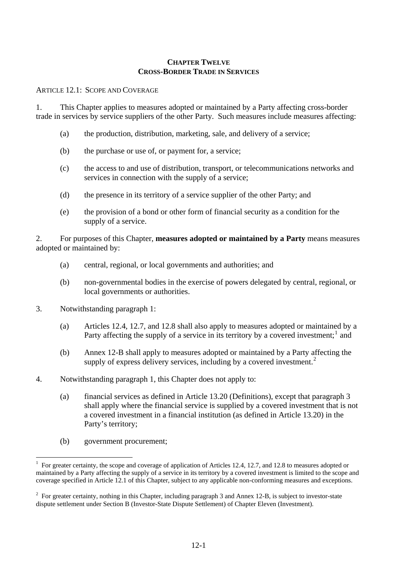#### **CHAPTER TWELVE CROSS-BORDER TRADE IN SERVICES**

ARTICLE 12.1: SCOPE AND COVERAGE

1. This Chapter applies to measures adopted or maintained by a Party affecting cross-border trade in services by service suppliers of the other Party. Such measures include measures affecting:

- (a) the production, distribution, marketing, sale, and delivery of a service;
- (b) the purchase or use of, or payment for, a service;
- (c) the access to and use of distribution, transport, or telecommunications networks and services in connection with the supply of a service;
- (d) the presence in its territory of a service supplier of the other Party; and
- (e) the provision of a bond or other form of financial security as a condition for the supply of a service.

2. For purposes of this Chapter, **measures adopted or maintained by a Party** means measures adopted or maintained by:

- (a) central, regional, or local governments and authorities; and
- (b) non-governmental bodies in the exercise of powers delegated by central, regional, or local governments or authorities.
- 3. Notwithstanding paragraph 1:
	- (a) Articles 12.4, 12.7, and 12.8 shall also apply to measures adopted or maintained by a Party affecting the supply of a service in its territory by a covered investment;<sup>[1](#page-0-0)</sup> and
	- (b) Annex 12-B shall apply to measures adopted or maintained by a Party affecting the supply of express delivery services, including by a covered investment.<sup>[2](#page-0-1)</sup>
- 4. Notwithstanding paragraph 1, this Chapter does not apply to:
	- (a) financial services as defined in Article 13.20 (Definitions), except that paragraph 3 shall apply where the financial service is supplied by a covered investment that is not a covered investment in a financial institution (as defined in Article 13.20) in the Party's territory;
	- (b) government procurement;

 $\overline{a}$ 

<span id="page-0-0"></span><sup>1</sup> For greater certainty, the scope and coverage of application of Articles 12.4, 12.7, and 12.8 to measures adopted or maintained by a Party affecting the supply of a service in its territory by a covered investment is limited to the scope and coverage specified in Article 12.1 of this Chapter, subject to any applicable non-conforming measures and exceptions.

<span id="page-0-1"></span> $2^2$  For greater certainty, nothing in this Chapter, including paragraph 3 and Annex 12-B, is subject to investor-state dispute settlement under Section B (Investor-State Dispute Settlement) of Chapter Eleven (Investment).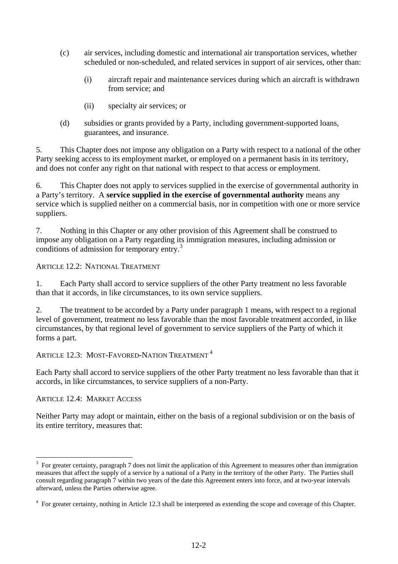- (c) air services, including domestic and international air transportation services, whether scheduled or non-scheduled, and related services in support of air services, other than:
	- (i) aircraft repair and maintenance services during which an aircraft is withdrawn from service; and
	- (ii) specialty air services; or
- (d) subsidies or grants provided by a Party, including government-supported loans, guarantees, and insurance.

5. This Chapter does not impose any obligation on a Party with respect to a national of the other Party seeking access to its employment market, or employed on a permanent basis in its territory, and does not confer any right on that national with respect to that access or employment.

6. This Chapter does not apply to services supplied in the exercise of governmental authority in a Party's territory. A **service supplied in the exercise of governmental authority** means any service which is supplied neither on a commercial basis, nor in competition with one or more service suppliers.

7. Nothing in this Chapter or any other provision of this Agreement shall be construed to impose any obligation on a Party regarding its immigration measures, including admission or conditions of admission for temporary entry.<sup>[3](#page-1-0)</sup>

ARTICLE 12.2: NATIONAL TREATMENT

1. Each Party shall accord to service suppliers of the other Party treatment no less favorable than that it accords, in like circumstances, to its own service suppliers.

2. The treatment to be accorded by a Party under paragraph 1 means, with respect to a regional level of government, treatment no less favorable than the most favorable treatment accorded, in like circumstances, by that regional level of government to service suppliers of the Party of which it forms a part.

ARTICLE 12.3: MOST-FAVORED-NATION TREATMENT<sup>[4](#page-1-1)</sup>

Each Party shall accord to service suppliers of the other Party treatment no less favorable than that it accords, in like circumstances, to service suppliers of a non-Party.

ARTICLE 12.4: MARKET ACCESS

 $\overline{a}$ 

Neither Party may adopt or maintain, either on the basis of a regional subdivision or on the basis of its entire territory, measures that:

<span id="page-1-0"></span> $3$  For greater certainty, paragraph 7 does not limit the application of this Agreement to measures other than immigration measures that affect the supply of a service by a national of a Party in the territory of the other Party. The Parties shall consult regarding paragraph 7 within two years of the date this Agreement enters into force, and at two-year intervals afterward, unless the Parties otherwise agree.

<span id="page-1-1"></span><sup>&</sup>lt;sup>4</sup> For greater certainty, nothing in Article 12.3 shall be interpreted as extending the scope and coverage of this Chapter.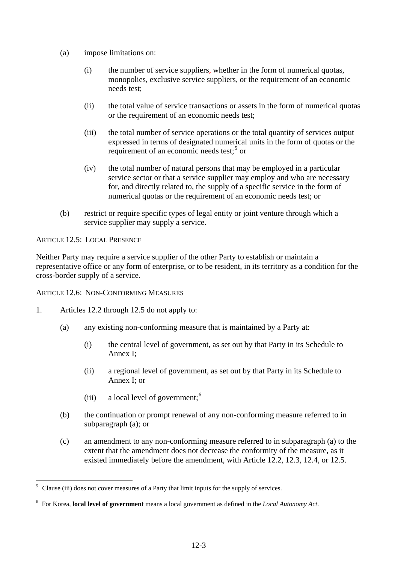- (a) impose limitations on:
	- (i) the number of service suppliers, whether in the form of numerical quotas, monopolies, exclusive service suppliers, or the requirement of an economic needs test;
	- (ii) the total value of service transactions or assets in the form of numerical quotas or the requirement of an economic needs test;
	- (iii) the total number of service operations or the total quantity of services output expressed in terms of designated numerical units in the form of quotas or the requirement of an economic needs test;<sup>[5](#page-2-0)</sup> or
	- (iv) the total number of natural persons that may be employed in a particular service sector or that a service supplier may employ and who are necessary for, and directly related to, the supply of a specific service in the form of numerical quotas or the requirement of an economic needs test; or
- (b) restrict or require specific types of legal entity or joint venture through which a service supplier may supply a service.

ARTICLE 12.5: LOCAL PRESENCE

 $\overline{a}$ 

Neither Party may require a service supplier of the other Party to establish or maintain a representative office or any form of enterprise, or to be resident, in its territory as a condition for the cross-border supply of a service.

ARTICLE 12.6: NON-CONFORMING MEASURES

- 1. Articles 12.2 through 12.5 do not apply to:
	- (a) any existing non-conforming measure that is maintained by a Party at:
		- (i) the central level of government, as set out by that Party in its Schedule to Annex I;
		- (ii) a regional level of government, as set out by that Party in its Schedule to Annex I; or
		- (iii) a local level of government;  $6<sup>6</sup>$  $6<sup>6</sup>$
	- (b) the continuation or prompt renewal of any non-conforming measure referred to in subparagraph (a); or
	- (c) an amendment to any non-conforming measure referred to in subparagraph (a) to the extent that the amendment does not decrease the conformity of the measure, as it existed immediately before the amendment, with Article 12.2, 12.3, 12.4, or 12.5.

<span id="page-2-0"></span><sup>5</sup> Clause (iii) does not cover measures of a Party that limit inputs for the supply of services.

<span id="page-2-1"></span><sup>6</sup> For Korea, **local level of government** means a local government as defined in the *Local Autonomy Act*.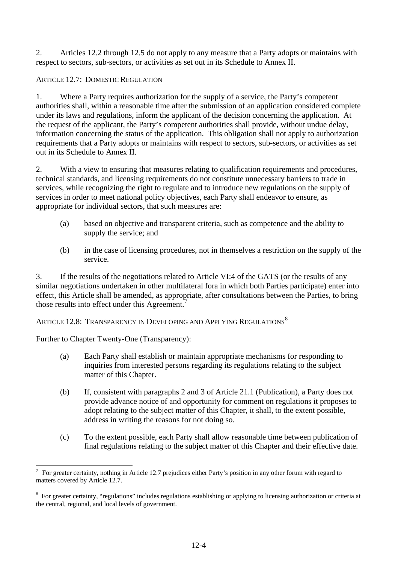2. Articles 12.2 through 12.5 do not apply to any measure that a Party adopts or maintains with respect to sectors, sub-sectors, or activities as set out in its Schedule to Annex II.

# ARTICLE 12.7: DOMESTIC REGULATION

1. Where a Party requires authorization for the supply of a service, the Party's competent authorities shall, within a reasonable time after the submission of an application considered complete under its laws and regulations, inform the applicant of the decision concerning the application. At the request of the applicant, the Party's competent authorities shall provide, without undue delay, information concerning the status of the application. This obligation shall not apply to authorization requirements that a Party adopts or maintains with respect to sectors, sub-sectors, or activities as set out in its Schedule to Annex II.

2. With a view to ensuring that measures relating to qualification requirements and procedures, technical standards, and licensing requirements do not constitute unnecessary barriers to trade in services, while recognizing the right to regulate and to introduce new regulations on the supply of services in order to meet national policy objectives, each Party shall endeavor to ensure, as appropriate for individual sectors, that such measures are:

- (a) based on objective and transparent criteria, such as competence and the ability to supply the service; and
- (b) in the case of licensing procedures, not in themselves a restriction on the supply of the service.

3. If the results of the negotiations related to Article VI:4 of the GATS (or the results of any similar negotiations undertaken in other multilateral fora in which both Parties participate) enter into effect, this Article shall be amended, as appropriate, after consultations between the Parties, to bring those results into effect under this Agreement.<sup>[7](#page-3-0)</sup>

ARTICLE 12.[8](#page-3-1): TRANSPARENCY IN DEVELOPING AND APPLYING REGULATIONS  $^8$ 

Further to Chapter Twenty-One (Transparency):

 $\overline{a}$ 

- (a) Each Party shall establish or maintain appropriate mechanisms for responding to inquiries from interested persons regarding its regulations relating to the subject matter of this Chapter.
- (b) If, consistent with paragraphs 2 and 3 of Article 21.1 (Publication), a Party does not provide advance notice of and opportunity for comment on regulations it proposes to adopt relating to the subject matter of this Chapter, it shall, to the extent possible, address in writing the reasons for not doing so.
- (c) To the extent possible, each Party shall allow reasonable time between publication of final regulations relating to the subject matter of this Chapter and their effective date.

<span id="page-3-0"></span><sup>7</sup> For greater certainty, nothing in Article 12.7 prejudices either Party's position in any other forum with regard to matters covered by Article 12.7.

<span id="page-3-1"></span><sup>&</sup>lt;sup>8</sup> For greater certainty, "regulations" includes regulations establishing or applying to licensing authorization or criteria at the central, regional, and local levels of government.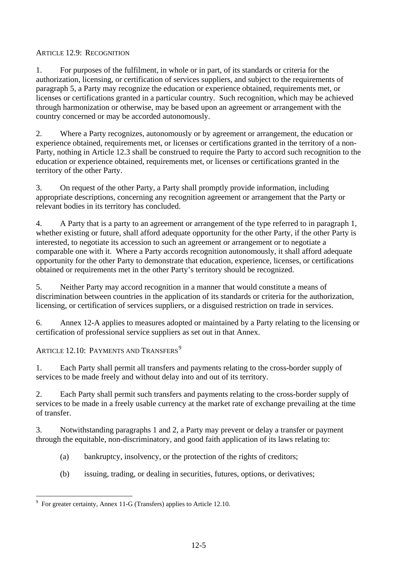### ARTICLE 12.9: RECOGNITION

1. For purposes of the fulfilment, in whole or in part, of its standards or criteria for the authorization, licensing, or certification of services suppliers, and subject to the requirements of paragraph 5, a Party may recognize the education or experience obtained, requirements met, or licenses or certifications granted in a particular country. Such recognition, which may be achieved through harmonization or otherwise, may be based upon an agreement or arrangement with the country concerned or may be accorded autonomously.

2. Where a Party recognizes, autonomously or by agreement or arrangement, the education or experience obtained, requirements met, or licenses or certifications granted in the territory of a non-Party, nothing in Article 12.3 shall be construed to require the Party to accord such recognition to the education or experience obtained, requirements met, or licenses or certifications granted in the territory of the other Party.

3. On request of the other Party, a Party shall promptly provide information, including appropriate descriptions, concerning any recognition agreement or arrangement that the Party or relevant bodies in its territory has concluded.

4. A Party that is a party to an agreement or arrangement of the type referred to in paragraph 1, whether existing or future, shall afford adequate opportunity for the other Party, if the other Party is interested, to negotiate its accession to such an agreement or arrangement or to negotiate a comparable one with it. Where a Party accords recognition autonomously, it shall afford adequate opportunity for the other Party to demonstrate that education, experience, licenses, or certifications obtained or requirements met in the other Party's territory should be recognized.

5. Neither Party may accord recognition in a manner that would constitute a means of discrimination between countries in the application of its standards or criteria for the authorization, licensing, or certification of services suppliers, or a disguised restriction on trade in services.

6. Annex 12-A applies to measures adopted or maintained by a Party relating to the licensing or certification of professional service suppliers as set out in that Annex.

ARTICLE 12.10: PAYMENTS AND TRANSFERS<sup>[9](#page-4-0)</sup>

1. Each Party shall permit all transfers and payments relating to the cross-border supply of services to be made freely and without delay into and out of its territory.

2. Each Party shall permit such transfers and payments relating to the cross-border supply of services to be made in a freely usable currency at the market rate of exchange prevailing at the time of transfer.

3. Notwithstanding paragraphs 1 and 2, a Party may prevent or delay a transfer or payment through the equitable, non-discriminatory, and good faith application of its laws relating to:

- (a) bankruptcy, insolvency, or the protection of the rights of creditors;
- (b) issuing, trading, or dealing in securities, futures, options, or derivatives;

<span id="page-4-0"></span> 9 For greater certainty, Annex 11-G (Transfers) applies to Article 12.10.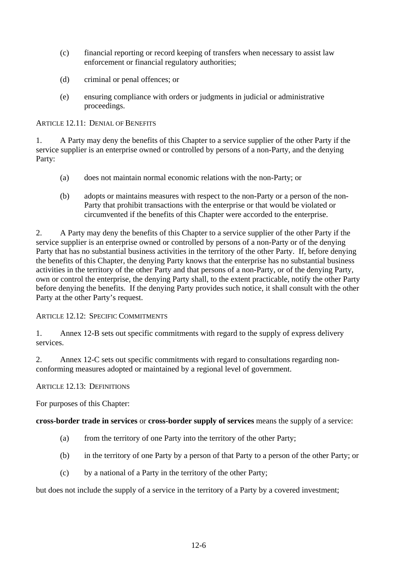- (c) financial reporting or record keeping of transfers when necessary to assist law enforcement or financial regulatory authorities;
- (d) criminal or penal offences; or
- (e) ensuring compliance with orders or judgments in judicial or administrative proceedings.

ARTICLE 12.11: DENIAL OF BENEFITS

1. A Party may deny the benefits of this Chapter to a service supplier of the other Party if the service supplier is an enterprise owned or controlled by persons of a non-Party, and the denying Party:

- (a) does not maintain normal economic relations with the non-Party; or
- (b) adopts or maintains measures with respect to the non-Party or a person of the non-Party that prohibit transactions with the enterprise or that would be violated or circumvented if the benefits of this Chapter were accorded to the enterprise.

2. A Party may deny the benefits of this Chapter to a service supplier of the other Party if the service supplier is an enterprise owned or controlled by persons of a non-Party or of the denying Party that has no substantial business activities in the territory of the other Party. If, before denying the benefits of this Chapter, the denying Party knows that the enterprise has no substantial business activities in the territory of the other Party and that persons of a non-Party, or of the denying Party, own or control the enterprise, the denying Party shall, to the extent practicable, notify the other Party before denying the benefits. If the denying Party provides such notice, it shall consult with the other Party at the other Party's request.

## ARTICLE 12.12: SPECIFIC COMMITMENTS

1. Annex 12-B sets out specific commitments with regard to the supply of express delivery services.

2. Annex 12-C sets out specific commitments with regard to consultations regarding nonconforming measures adopted or maintained by a regional level of government.

## ARTICLE 12.13: DEFINITIONS

For purposes of this Chapter:

## **cross-border trade in services** or **cross-border supply of services** means the supply of a service:

- (a) from the territory of one Party into the territory of the other Party;
- (b) in the territory of one Party by a person of that Party to a person of the other Party; or
- (c) by a national of a Party in the territory of the other Party;

but does not include the supply of a service in the territory of a Party by a covered investment;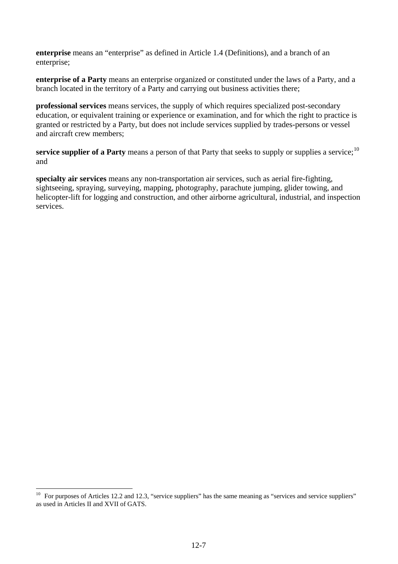**enterprise** means an "enterprise" as defined in Article 1.4 (Definitions), and a branch of an enterprise;

**enterprise of a Party** means an enterprise organized or constituted under the laws of a Party, and a branch located in the territory of a Party and carrying out business activities there;

**professional services** means services, the supply of which requires specialized post-secondary education, or equivalent training or experience or examination, and for which the right to practice is granted or restricted by a Party, but does not include services supplied by trades-persons or vessel and aircraft crew members;

**service supplier of a Party** means a person of that Party that seeks to supply or supplies a service;<sup>[10](#page-6-0)</sup> and

**specialty air services** means any non-transportation air services, such as aerial fire-fighting, sightseeing, spraying, surveying, mapping, photography, parachute jumping, glider towing, and helicopter-lift for logging and construction, and other airborne agricultural, industrial, and inspection services.

 $\overline{a}$ 

<span id="page-6-0"></span> $10$  For purposes of Articles 12.2 and 12.3, "service suppliers" has the same meaning as "services and service suppliers" as used in Articles II and XVII of GATS.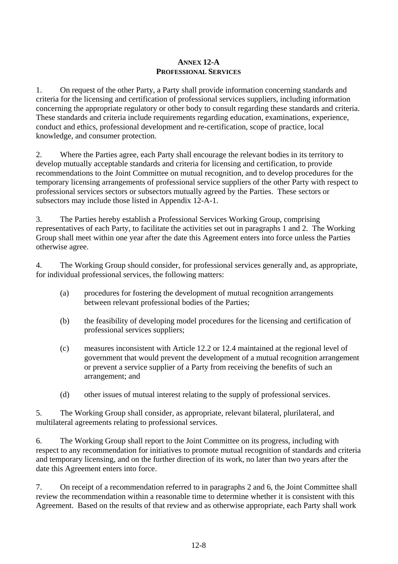## **ANNEX 12-A PROFESSIONAL SERVICES**

1. On request of the other Party, a Party shall provide information concerning standards and criteria for the licensing and certification of professional services suppliers, including information concerning the appropriate regulatory or other body to consult regarding these standards and criteria. These standards and criteria include requirements regarding education, examinations, experience, conduct and ethics, professional development and re-certification, scope of practice, local knowledge, and consumer protection.

2. Where the Parties agree, each Party shall encourage the relevant bodies in its territory to develop mutually acceptable standards and criteria for licensing and certification, to provide recommendations to the Joint Committee on mutual recognition, and to develop procedures for the temporary licensing arrangements of professional service suppliers of the other Party with respect to professional services sectors or subsectors mutually agreed by the Parties. These sectors or subsectors may include those listed in Appendix 12-A-1.

3. The Parties hereby establish a Professional Services Working Group, comprising representatives of each Party, to facilitate the activities set out in paragraphs 1 and 2. The Working Group shall meet within one year after the date this Agreement enters into force unless the Parties otherwise agree.

4. The Working Group should consider, for professional services generally and, as appropriate, for individual professional services, the following matters:

- (a) procedures for fostering the development of mutual recognition arrangements between relevant professional bodies of the Parties;
- (b) the feasibility of developing model procedures for the licensing and certification of professional services suppliers;
- (c) measures inconsistent with Article 12.2 or 12.4 maintained at the regional level of government that would prevent the development of a mutual recognition arrangement or prevent a service supplier of a Party from receiving the benefits of such an arrangement; and
- (d) other issues of mutual interest relating to the supply of professional services.

5. The Working Group shall consider, as appropriate, relevant bilateral, plurilateral, and multilateral agreements relating to professional services.

6. The Working Group shall report to the Joint Committee on its progress, including with respect to any recommendation for initiatives to promote mutual recognition of standards and criteria and temporary licensing, and on the further direction of its work, no later than two years after the date this Agreement enters into force.

7. On receipt of a recommendation referred to in paragraphs 2 and 6, the Joint Committee shall review the recommendation within a reasonable time to determine whether it is consistent with this Agreement. Based on the results of that review and as otherwise appropriate, each Party shall work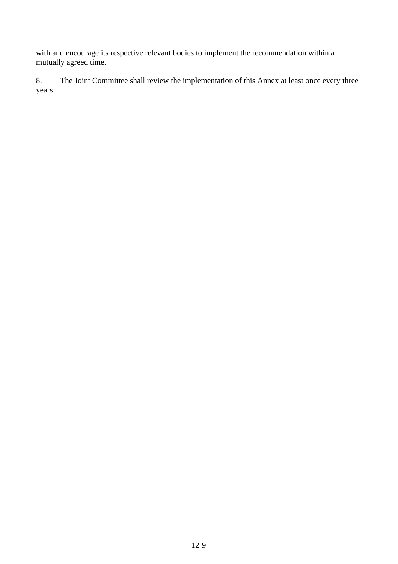with and encourage its respective relevant bodies to implement the recommendation within a mutually agreed time.

8. The Joint Committee shall review the implementation of this Annex at least once every three years.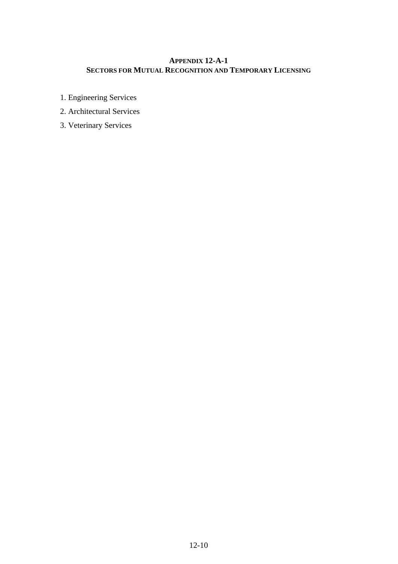# **APPENDIX 12-A-1 SECTORS FOR MUTUAL RECOGNITION AND TEMPORARY LICENSING**

- 1. Engineering Services
- 2. Architectural Services
- 3. Veterinary Services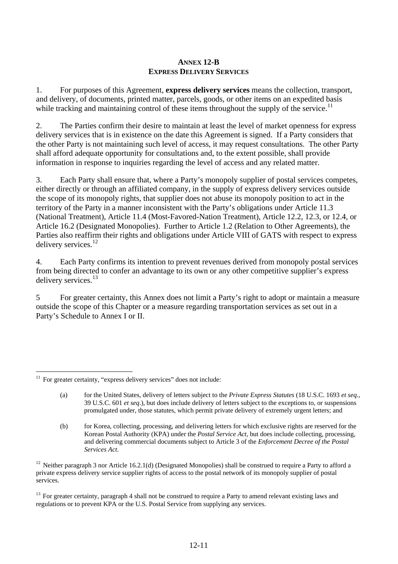### **ANNEX 12-B EXPRESS DELIVERY SERVICES**

1. For purposes of this Agreement, **express delivery services** means the collection, transport, and delivery, of documents, printed matter, parcels, goods, or other items on an expedited basis while tracking and maintaining control of these items throughout the supply of the service.<sup>[11](#page-10-0)</sup>

2. The Parties confirm their desire to maintain at least the level of market openness for express delivery services that is in existence on the date this Agreement is signed. If a Party considers that the other Party is not maintaining such level of access, it may request consultations. The other Party shall afford adequate opportunity for consultations and, to the extent possible, shall provide information in response to inquiries regarding the level of access and any related matter.

3. Each Party shall ensure that, where a Party's monopoly supplier of postal services competes, either directly or through an affiliated company, in the supply of express delivery services outside the scope of its monopoly rights, that supplier does not abuse its monopoly position to act in the territory of the Party in a manner inconsistent with the Party's obligations under Article 11.3 (National Treatment), Article 11.4 (Most-Favored-Nation Treatment), Article 12.2, 12.3, or 12.4, or Article 16.2 (Designated Monopolies). Further to Article 1.2 (Relation to Other Agreements), the Parties also reaffirm their rights and obligations under Article VIII of GATS with respect to express delivery services.<sup>[12](#page-10-1)</sup>

4. Each Party confirms its intention to prevent revenues derived from monopoly postal services from being directed to confer an advantage to its own or any other competitive supplier's express delivery services.<sup>[13](#page-10-2)</sup>

5 For greater certainty, this Annex does not limit a Party's right to adopt or maintain a measure outside the scope of this Chapter or a measure regarding transportation services as set out in a Party's Schedule to Annex I or II.

<span id="page-10-0"></span> $\overline{a}$ <sup>11</sup> For greater certainty, "express delivery services" does not include:

<sup>(</sup>a) for the United States, delivery of letters subject to the *Private Express Statutes* (18 U.S.C. 1693 *et seq*., 39 U.S.C. 601 *et seq*.), but does include delivery of letters subject to the exceptions to, or suspensions promulgated under, those statutes, which permit private delivery of extremely urgent letters; and

<sup>(</sup>b) for Korea, collecting, processing, and delivering letters for which exclusive rights are reserved for the Korean Postal Authority (KPA) under the *Postal Service Act*, but does include collecting, processing, and delivering commercial documents subject to Article 3 of the *Enforcement Decree of the Postal Services Act*.

<span id="page-10-1"></span><sup>&</sup>lt;sup>12</sup> Neither paragraph 3 nor Article 16.2.1(d) (Designated Monopolies) shall be construed to require a Party to afford a private express delivery service supplier rights of access to the postal network of its monopoly supplier of postal services.

<span id="page-10-2"></span> $13$  For greater certainty, paragraph 4 shall not be construed to require a Party to amend relevant existing laws and regulations or to prevent KPA or the U.S. Postal Service from supplying any services.